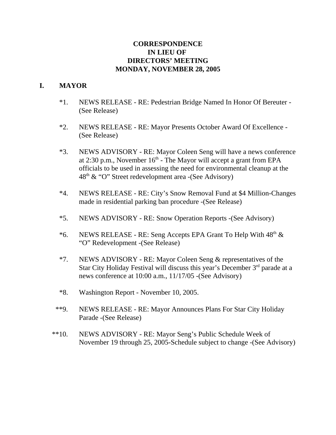## **CORRESPONDENCE IN LIEU OF DIRECTORS' MEETING MONDAY, NOVEMBER 28, 2005**

## **I. MAYOR**

- \*1. NEWS RELEASE RE: Pedestrian Bridge Named In Honor Of Bereuter (See Release)
- \*2. NEWS RELEASE RE: Mayor Presents October Award Of Excellence (See Release)
- \*3. NEWS ADVISORY RE: Mayor Coleen Seng will have a news conference at 2:30 p.m., November  $16<sup>th</sup>$  - The Mayor will accept a grant from EPA officials to be used in assessing the need for environmental cleanup at the  $48<sup>th</sup>$  & "O" Street redevelopment area -(See Advisory)
- \*4. NEWS RELEASE RE: City's Snow Removal Fund at \$4 Million-Changes made in residential parking ban procedure -(See Release)
- \*5. NEWS ADVISORY RE: Snow Operation Reports -(See Advisory)
- \*6. NEWS RELEASE RE: Seng Accepts EPA Grant To Help With 48th & "O" Redevelopment -(See Release)
- \*7. NEWS ADVISORY RE: Mayor Coleen Seng & representatives of the Star City Holiday Festival will discuss this year's December 3rd parade at a news conference at 10:00 a.m., 11/17/05 -(See Advisory)
- \*8. Washington Report November 10, 2005.
- \*\*9. NEWS RELEASE RE: Mayor Announces Plans For Star City Holiday Parade -(See Release)
- \*\*10. NEWS ADVISORY RE: Mayor Seng's Public Schedule Week of November 19 through 25, 2005-Schedule subject to change -(See Advisory)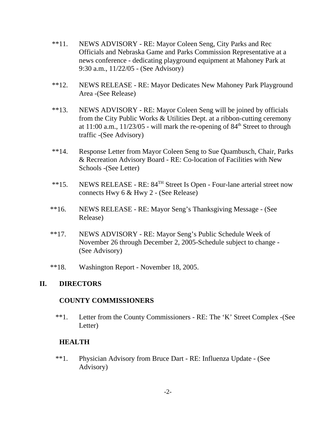- \*\*11. NEWS ADVISORY RE: Mayor Coleen Seng, City Parks and Rec Officials and Nebraska Game and Parks Commission Representative at a news conference - dedicating playground equipment at Mahoney Park at 9:30 a.m., 11/22/05 - (See Advisory)
- \*\*12. NEWS RELEASE RE: Mayor Dedicates New Mahoney Park Playground Area -(See Release)
- \*\*13. NEWS ADVISORY RE: Mayor Coleen Seng will be joined by officials from the City Public Works & Utilities Dept. at a ribbon-cutting ceremony at  $11:00$  a.m.,  $11/23/05$  - will mark the re-opening of  $84<sup>th</sup>$  Street to through traffic -(See Advisory)
- \*\*14. Response Letter from Mayor Coleen Seng to Sue Quambusch, Chair, Parks & Recreation Advisory Board - RE: Co-location of Facilities with New Schools -(See Letter)
- \*\*15. NEWS RELEASE RE: 84TH Street Is Open Four-lane arterial street now connects Hwy 6 & Hwy 2 - (See Release)
- \*\*16. NEWS RELEASE RE: Mayor Seng's Thanksgiving Message (See Release)
- \*\*17. NEWS ADVISORY RE: Mayor Seng's Public Schedule Week of November 26 through December 2, 2005-Schedule subject to change - (See Advisory)
- \*\*18. Washington Report November 18, 2005.

#### **II. DIRECTORS**

#### **COUNTY COMMISSIONERS**

\*\*1. Letter from the County Commissioners - RE: The 'K' Street Complex -(See Letter)

## **HEALTH**

 \*\*1. Physician Advisory from Bruce Dart - RE: Influenza Update - (See Advisory)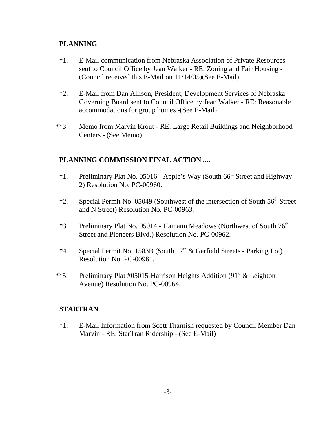# **PLANNING**

- \*1. E-Mail communication from Nebraska Association of Private Resources sent to Council Office by Jean Walker - RE: Zoning and Fair Housing - (Council received this E-Mail on 11/14/05)(See E-Mail)
- \*2. E-Mail from Dan Allison, President, Development Services of Nebraska Governing Board sent to Council Office by Jean Walker - RE: Reasonable accommodations for group homes -(See E-Mail)
- \*\*3. Memo from Marvin Krout RE: Large Retail Buildings and Neighborhood Centers - (See Memo)

# **PLANNING COMMISSION FINAL ACTION ....**

- \*1. Preliminary Plat No. 05016 Apple's Way (South  $66<sup>th</sup>$  Street and Highway 2) Resolution No. PC-00960.
- \*2. Special Permit No. 05049 (Southwest of the intersection of South 56<sup>th</sup> Street and N Street) Resolution No. PC-00963.
- \*3. Preliminary Plat No. 05014 Hamann Meadows (Northwest of South 76<sup>th</sup>) Street and Pioneers Blvd.) Resolution No. PC-00962.
- \*4. Special Permit No. 1583B (South  $17<sup>th</sup>$  & Garfield Streets Parking Lot) Resolution No. PC-00961.
- \*\*5. Preliminary Plat #05015-Harrison Heights Addition (91<sup>st</sup> & Leighton Avenue) Resolution No. PC-00964.

## **STARTRAN**

\*1. E-Mail Information from Scott Tharnish requested by Council Member Dan Marvin - RE: StarTran Ridership - (See E-Mail)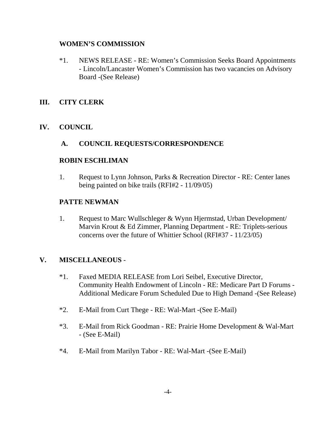### **WOMEN'S COMMISSION**

\*1. NEWS RELEASE - RE: Women's Commission Seeks Board Appointments - Lincoln/Lancaster Women's Commission has two vacancies on Advisory Board -(See Release)

# **III. CITY CLERK**

# **IV. COUNCIL**

## **A. COUNCIL REQUESTS/CORRESPONDENCE**

### **ROBIN ESCHLIMAN**

1. Request to Lynn Johnson, Parks & Recreation Director - RE: Center lanes being painted on bike trails (RFI#2 - 11/09/05)

### **PATTE NEWMAN**

1. Request to Marc Wullschleger & Wynn Hjermstad, Urban Development/ Marvin Krout & Ed Zimmer, Planning Department - RE: Triplets-serious concerns over the future of Whittier School (RFI#37 - 11/23/05)

## **V. MISCELLANEOUS** -

- \*1. Faxed MEDIA RELEASE from Lori Seibel, Executive Director, Community Health Endowment of Lincoln - RE: Medicare Part D Forums - Additional Medicare Forum Scheduled Due to High Demand -(See Release)
- \*2. E-Mail from Curt Thege RE: Wal-Mart -(See E-Mail)
- \*3. E-Mail from Rick Goodman RE: Prairie Home Development & Wal-Mart - (See E-Mail)
- \*4. E-Mail from Marilyn Tabor RE: Wal-Mart -(See E-Mail)